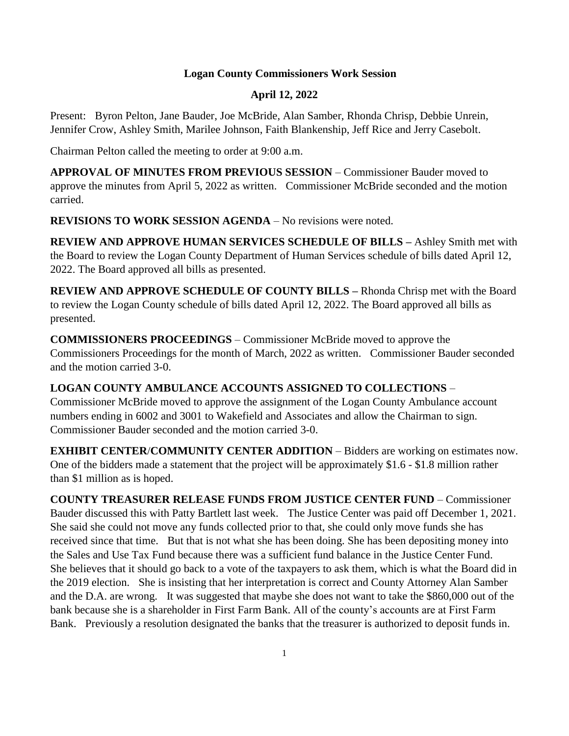## **Logan County Commissioners Work Session**

## **April 12, 2022**

Present: Byron Pelton, Jane Bauder, Joe McBride, Alan Samber, Rhonda Chrisp, Debbie Unrein, Jennifer Crow, Ashley Smith, Marilee Johnson, Faith Blankenship, Jeff Rice and Jerry Casebolt.

Chairman Pelton called the meeting to order at 9:00 a.m.

**APPROVAL OF MINUTES FROM PREVIOUS SESSION** – Commissioner Bauder moved to approve the minutes from April 5, 2022 as written. Commissioner McBride seconded and the motion carried.

**REVISIONS TO WORK SESSION AGENDA** – No revisions were noted.

**REVIEW AND APPROVE HUMAN SERVICES SCHEDULE OF BILLS –** Ashley Smith met with the Board to review the Logan County Department of Human Services schedule of bills dated April 12, 2022. The Board approved all bills as presented.

**REVIEW AND APPROVE SCHEDULE OF COUNTY BILLS –** Rhonda Chrisp met with the Board to review the Logan County schedule of bills dated April 12, 2022. The Board approved all bills as presented.

**COMMISSIONERS PROCEEDINGS** – Commissioner McBride moved to approve the Commissioners Proceedings for the month of March, 2022 as written. Commissioner Bauder seconded and the motion carried 3-0.

## **LOGAN COUNTY AMBULANCE ACCOUNTS ASSIGNED TO COLLECTIONS** –

Commissioner McBride moved to approve the assignment of the Logan County Ambulance account numbers ending in 6002 and 3001 to Wakefield and Associates and allow the Chairman to sign. Commissioner Bauder seconded and the motion carried 3-0.

**EXHIBIT CENTER**/**COMMUNITY CENTER ADDITION** – Bidders are working on estimates now. One of the bidders made a statement that the project will be approximately \$1.6 - \$1.8 million rather than \$1 million as is hoped.

**COUNTY TREASURER RELEASE FUNDS FROM JUSTICE CENTER FUND** – Commissioner Bauder discussed this with Patty Bartlett last week. The Justice Center was paid off December 1, 2021. She said she could not move any funds collected prior to that, she could only move funds she has received since that time. But that is not what she has been doing. She has been depositing money into the Sales and Use Tax Fund because there was a sufficient fund balance in the Justice Center Fund. She believes that it should go back to a vote of the taxpayers to ask them, which is what the Board did in the 2019 election. She is insisting that her interpretation is correct and County Attorney Alan Samber and the D.A. are wrong. It was suggested that maybe she does not want to take the \$860,000 out of the bank because she is a shareholder in First Farm Bank. All of the county's accounts are at First Farm Bank. Previously a resolution designated the banks that the treasurer is authorized to deposit funds in.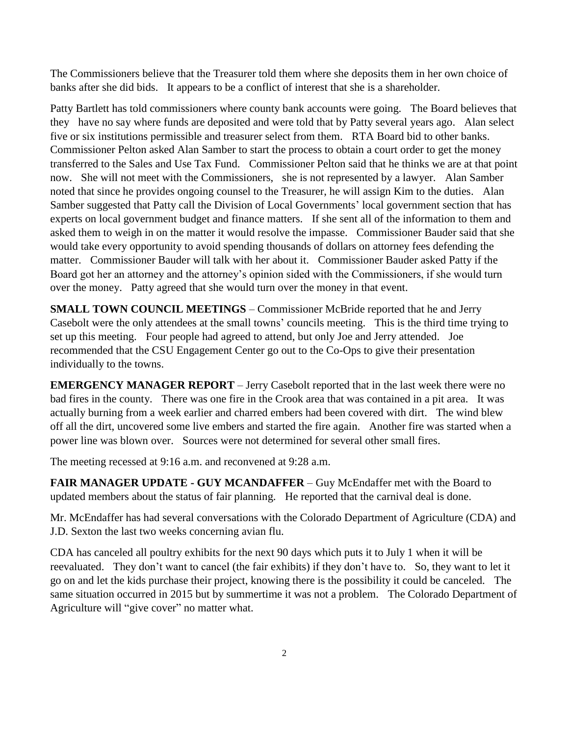The Commissioners believe that the Treasurer told them where she deposits them in her own choice of banks after she did bids. It appears to be a conflict of interest that she is a shareholder.

Patty Bartlett has told commissioners where county bank accounts were going. The Board believes that they have no say where funds are deposited and were told that by Patty several years ago. Alan select five or six institutions permissible and treasurer select from them. RTA Board bid to other banks. Commissioner Pelton asked Alan Samber to start the process to obtain a court order to get the money transferred to the Sales and Use Tax Fund. Commissioner Pelton said that he thinks we are at that point now. She will not meet with the Commissioners, she is not represented by a lawyer. Alan Samber noted that since he provides ongoing counsel to the Treasurer, he will assign Kim to the duties. Alan Samber suggested that Patty call the Division of Local Governments' local government section that has experts on local government budget and finance matters. If she sent all of the information to them and asked them to weigh in on the matter it would resolve the impasse. Commissioner Bauder said that she would take every opportunity to avoid spending thousands of dollars on attorney fees defending the matter. Commissioner Bauder will talk with her about it. Commissioner Bauder asked Patty if the Board got her an attorney and the attorney's opinion sided with the Commissioners, if she would turn over the money. Patty agreed that she would turn over the money in that event.

**SMALL TOWN COUNCIL MEETINGS** – Commissioner McBride reported that he and Jerry Casebolt were the only attendees at the small towns' councils meeting. This is the third time trying to set up this meeting. Four people had agreed to attend, but only Joe and Jerry attended. Joe recommended that the CSU Engagement Center go out to the Co-Ops to give their presentation individually to the towns.

**EMERGENCY MANAGER REPORT** – Jerry Casebolt reported that in the last week there were no bad fires in the county. There was one fire in the Crook area that was contained in a pit area. It was actually burning from a week earlier and charred embers had been covered with dirt. The wind blew off all the dirt, uncovered some live embers and started the fire again. Another fire was started when a power line was blown over. Sources were not determined for several other small fires.

The meeting recessed at 9:16 a.m. and reconvened at 9:28 a.m.

**FAIR MANAGER UPDATE - GUY MCANDAFFER** – Guy McEndaffer met with the Board to updated members about the status of fair planning. He reported that the carnival deal is done.

Mr. McEndaffer has had several conversations with the Colorado Department of Agriculture (CDA) and J.D. Sexton the last two weeks concerning avian flu.

CDA has canceled all poultry exhibits for the next 90 days which puts it to July 1 when it will be reevaluated. They don't want to cancel (the fair exhibits) if they don't have to. So, they want to let it go on and let the kids purchase their project, knowing there is the possibility it could be canceled. The same situation occurred in 2015 but by summertime it was not a problem. The Colorado Department of Agriculture will "give cover" no matter what.